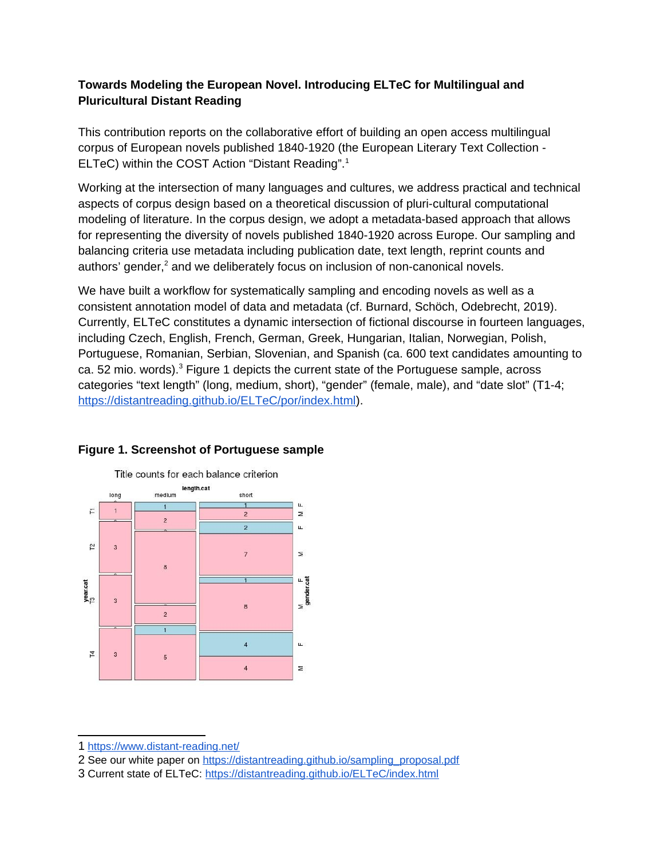## **Towards Modeling the European Novel. Introducing ELTeC for Multilingual and Pluricultural Distant Reading**

This contribution reports on the collaborative effort of building an open access multilingual corpus of European novels published 1840-1920 (the European Literary Text Collection - ELTeC) within the COST Action "Distant Reading".<sup>[1](#page-0-0)</sup>

Working at the intersection of many languages and cultures, we address practical and technical aspects of corpus design based on a theoretical discussion of pluri-cultural computational modeling of literature. In the corpus design, we adopt a metadata-based approach that allows for representing the diversity of novels published 1840-1920 across Europe. Our sampling and balancing criteria use metadata including publication date, text length, reprint counts and  $a$ uthors' gender, $2$  and we deliberately focus on inclusion of non-canonical novels.

We have built a workflow for systematically sampling and encoding novels as well as a consistent annotation model of data and metadata (cf. Burnard, Schöch, Odebrecht, 2019). Currently, ELTeC constitutes a dynamic intersection of fictional discourse in fourteen languages, including Czech, English, French, German, Greek, Hungarian, Italian, Norwegian, Polish, Portuguese, Romanian, Serbian, Slovenian, and Spanish (ca. 600 text candidates amounting to ca. 52 mio. words). $3$  Figure 1 depicts the current state of the Portuguese sample, across categories "text length" (long, medium, short), "gender" (female, male), and "date slot" (T1-4; <https://distantreading.github.io/ELTeC/por/index.html>).



## **Figure 1. Screenshot of Portuguese sample**

<span id="page-0-0"></span><sup>1</sup> <https://www.distant-reading.net/>

<span id="page-0-1"></span><sup>2</sup> See our white paper on [https://distantreading.github.io/sampling\\_proposal.pdf](https://distantreading.github.io/sampling_proposal.pdf)

<span id="page-0-2"></span><sup>3</sup> Current state of ELTeC:<https://distantreading.github.io/ELTeC/index.html>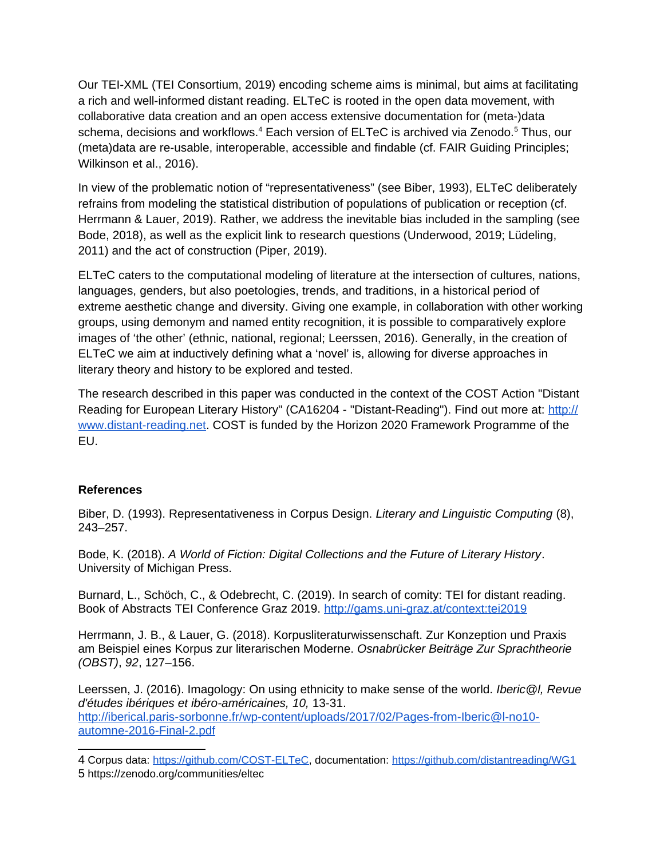Our TEI-XML (TEI Consortium, 2019) encoding scheme aims is minimal, but aims at facilitating a rich and well-informed distant reading. ELTeC is rooted in the open data movement, with collaborative data creation and an open access extensive documentation for (meta-)data schema, decisions and workflows.<sup>[4](#page-1-0)</sup> Each version of ELTeC is archived via Zenodo.<sup>[5](#page-1-1)</sup> Thus, our (meta)data are re-usable, interoperable, accessible and findable (cf. FAIR Guiding Principles; Wilkinson et al., 2016).

In view of the problematic notion of "representativeness" (see Biber, 1993), ELTeC deliberately refrains from modeling the statistical distribution of populations of publication or reception (cf. Herrmann & Lauer, 2019). Rather, we address the inevitable bias included in the sampling (see Bode, 2018), as well as the explicit link to research questions (Underwood, 2019; Lüdeling, 2011) and the act of construction (Piper, 2019).

ELTeC caters to the computational modeling of literature at the intersection of cultures, nations, languages, genders, but also poetologies, trends, and traditions, in a historical period of extreme aesthetic change and diversity. Giving one example, in collaboration with other working groups, using demonym and named entity recognition, it is possible to comparatively explore images of 'the other' (ethnic, national, regional; Leerssen, 2016). Generally, in the creation of ELTeC we aim at inductively defining what a 'novel' is, allowing for diverse approaches in literary theory and history to be explored and tested.

The research described in this paper was conducted in the context of the COST Action "Distant Reading for European Literary History" (CA16204 - "Distant-Reading"). Find out more at: [http://](http://www.distant-reading.net/) [www.distant-reading.net](http://www.distant-reading.net/). COST is funded by the Horizon 2020 Framework Programme of the EU.

## **References**

Biber, D. (1993). Representativeness in Corpus Design. *Literary and Linguistic Computing* (8), 243–257.

Bode, K. (2018). *A World of Fiction: Digital Collections and the Future of Literary History*. University of Michigan Press.

Burnard, L., Schöch, C., & Odebrecht, C. (2019). In search of comity: TEI for distant reading. Book of Abstracts TEI Conference Graz 2019. <http://gams.uni-graz.at/context:tei2019>

Herrmann, J. B., & Lauer, G. (2018). Korpusliteraturwissenschaft. Zur Konzeption und Praxis am Beispiel eines Korpus zur literarischen Moderne. *Osnabrücker Beiträge Zur Sprachtheorie (OBST)*, *92*, 127–156.

Leerssen, J. (2016). Imagology: On using ethnicity to make sense of the world. *Iberic@l, Revue d'études ibériques et ibéro-américaines, 10,* 13-31. http://iberical.paris-sorbonne.fr/wp-content/uploads/2017/02/Pages-from-Iberic@l-no10 automne-2016-Final-2.pdf

<span id="page-1-1"></span><span id="page-1-0"></span><sup>4</sup> Corpus data: [https://github.com/COST-ELTeC,](https://github.com/COST-ELTeC) documentation:<https://github.com/distantreading/WG1> 5 https://zenodo.org/communities/eltec